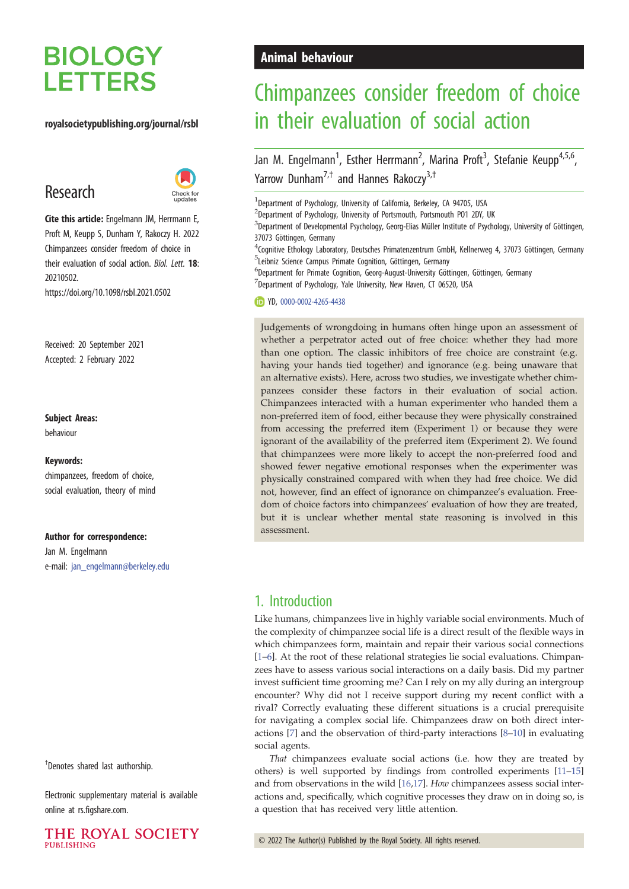# **BIOLOGY LETTERS**

#### royalsocietypublishing.org/journal/rsbl

## Research



Cite this article: Engelmann JM, Herrmann E, Proft M, Keupp S, Dunham Y, Rakoczy H. 2022 Chimpanzees consider freedom of choice in their evaluation of social action. Biol. Lett. 18: 20210502. https://doi.org/10.1098/rsbl.2021.0502

Received: 20 September 2021 Accepted: 2 February 2022

#### Subject Areas:

behaviour

#### Keywords:

chimpanzees, freedom of choice, social evaluation, theory of mind

#### Author for correspondence:

Jan M. Engelmann e-mail: [jan\\_engelmann@berkeley.edu](mailto:jan_engelmann@berkeley.edu)

† Denotes shared last authorship.

Electronic supplementary material is available online at rs.figshare.com.



## Animal behaviour

# Chimpanzees consider freedom of choice in their evaluation of social action

Jan M. Engelmann<sup>1</sup>, Esther Herrmann<sup>2</sup>, Marina Proft<sup>3</sup>, Stefanie Keupp<sup>4,5,6</sup>, Yarrow Dunham<sup>7,†</sup> and Hannes Rakoczy<sup>3,†</sup>

<sup>1</sup> Department of Psychology, University of California, Berkeley, CA 94705, USA

<sup>2</sup>Department of Psychology, University of Portsmouth, Portsmouth PO1 2DY, UK

 ${}^{3}$ Department of Developmental Psychology, Georg-Elias Müller Institute of Psychology, University of Göttingen, 37073 Göttingen, Germany

4 Cognitive Ethology Laboratory, Deutsches Primatenzentrum GmbH, Kellnerweg 4, 37073 Göttingen, Germany <sup>5</sup>Leibniz Science Campus Primate Cognition, Göttingen, Germany

6 Department for Primate Cognition, Georg-August-University Göttingen, Göttingen, Germany  $7$ Department of Psychology, Yale University, New Haven, CT 06520, USA

YD, [0000-0002-4265-4438](http://orcid.org/0000-0002-4265-4438)

Judgements of wrongdoing in humans often hinge upon an assessment of whether a perpetrator acted out of free choice: whether they had more than one option. The classic inhibitors of free choice are constraint (e.g. having your hands tied together) and ignorance (e.g. being unaware that an alternative exists). Here, across two studies, we investigate whether chimpanzees consider these factors in their evaluation of social action. Chimpanzees interacted with a human experimenter who handed them a non-preferred item of food, either because they were physically constrained from accessing the preferred item (Experiment 1) or because they were ignorant of the availability of the preferred item (Experiment 2). We found that chimpanzees were more likely to accept the non-preferred food and showed fewer negative emotional responses when the experimenter was physically constrained compared with when they had free choice. We did not, however, find an effect of ignorance on chimpanzee's evaluation. Freedom of choice factors into chimpanzees' evaluation of how they are treated, but it is unclear whether mental state reasoning is involved in this assessment.

## 1. Introduction

Like humans, chimpanzees live in highly variable social environments. Much of the complexity of chimpanzee social life is a direct result of the flexible ways in which chimpanzees form, maintain and repair their various social connections [[1](#page-4-0)–[6](#page-4-0)]. At the root of these relational strategies lie social evaluations. Chimpanzees have to assess various social interactions on a daily basis. Did my partner invest sufficient time grooming me? Can I rely on my ally during an intergroup encounter? Why did not I receive support during my recent conflict with a rival? Correctly evaluating these different situations is a crucial prerequisite for navigating a complex social life. Chimpanzees draw on both direct interactions [\[7\]](#page-4-0) and the observation of third-party interactions [[8](#page-4-0)–[10\]](#page-4-0) in evaluating social agents.

That chimpanzees evaluate social actions (i.e. how they are treated by others) is well supported by findings from controlled experiments [[11](#page-4-0)–[15\]](#page-4-0) and from observations in the wild [[16,17](#page-4-0)]. How chimpanzees assess social interactions and, specifically, which cognitive processes they draw on in doing so, is a question that has received very little attention.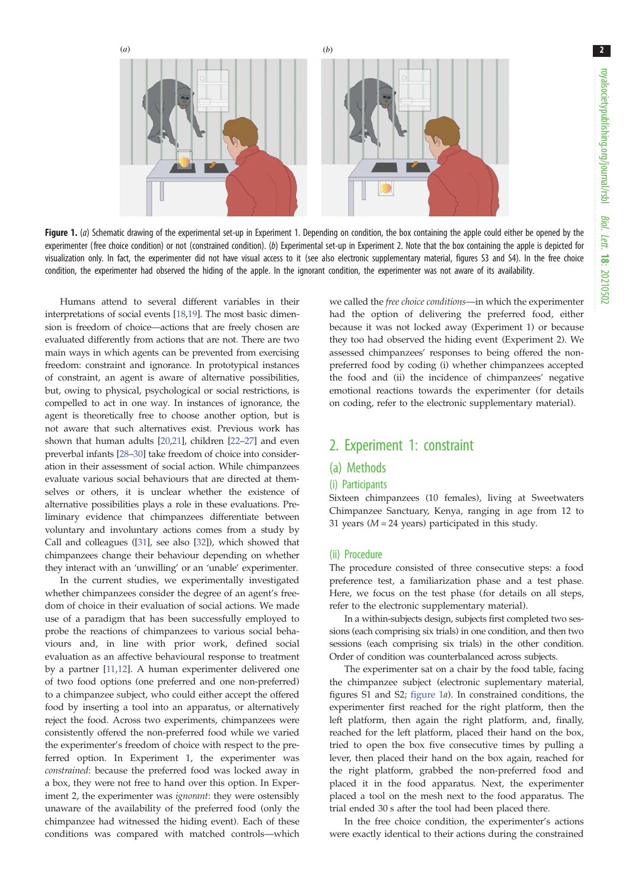<span id="page-1-0"></span>

Figure 1. (a) Schematic drawing of the experimental set-up in Experiment 1. Depending on condition, the box containing the apple could either be opened by the experimenter (free choice condition) or not (constrained condition). (b) Experimental set-up in Experiment 2. Note that the box containing the apple is depicted for visualization only. In fact, the experimenter did not have visual access to it (see also electronic supplementary material, figures S3 and S4). In the free choice condition, the experimenter had observed the hiding of the apple. In the ignorant condition, the experimenter was not aware of its availability.

Humans attend to several different variables in their interpretations of social events [[18,19\]](#page-4-0). The most basic dimension is freedom of choice—actions that are freely chosen are evaluated differently from actions that are not. There are two main ways in which agents can be prevented from exercising freedom: constraint and ignorance. In prototypical instances of constraint, an agent is aware of alternative possibilities, but, owing to physical, psychological or social restrictions, is compelled to act in one way. In instances of ignorance, the agent is theoretically free to choose another option, but is not aware that such alternatives exist. Previous work has shown that human adults [\[20,21\]](#page-4-0), children [\[22](#page-4-0)–[27](#page-4-0)] and even preverbal infants [\[28](#page-4-0)–[30](#page-4-0)] take freedom of choice into consideration in their assessment of social action. While chimpanzees evaluate various social behaviours that are directed at themselves or others, it is unclear whether the existence of alternative possibilities plays a role in these evaluations. Preliminary evidence that chimpanzees differentiate between voluntary and involuntary actions comes from a study by Call and colleagues ([\[31](#page-4-0)], see also [\[32\]](#page-5-0)), which showed that chimpanzees change their behaviour depending on whether they interact with an 'unwilling' or an 'unable' experimenter.

In the current studies, we experimentally investigated whether chimpanzees consider the degree of an agent's freedom of choice in their evaluation of social actions. We made use of a paradigm that has been successfully employed to probe the reactions of chimpanzees to various social behaviours and, in line with prior work, defined social evaluation as an affective behavioural response to treatment by a partner [[11,12](#page-4-0)]. A human experimenter delivered one of two food options (one preferred and one non-preferred) to a chimpanzee subject, who could either accept the offered food by inserting a tool into an apparatus, or alternatively reject the food. Across two experiments, chimpanzees were consistently offered the non-preferred food while we varied the experimenter's freedom of choice with respect to the preferred option. In Experiment 1, the experimenter was constrained: because the preferred food was locked away in a box, they were not free to hand over this option. In Experiment 2, the experimenter was ignorant: they were ostensibly unaware of the availability of the preferred food (only the chimpanzee had witnessed the hiding event). Each of these conditions was compared with matched controls—which we called the free choice conditions—in which the experimenter had the option of delivering the preferred food, either because it was not locked away (Experiment 1) or because they too had observed the hiding event (Experiment 2). We assessed chimpanzees' responses to being offered the nonpreferred food by coding (i) whether chimpanzees accepted the food and (ii) the incidence of chimpanzees' negative emotional reactions towards the experimenter (for details on coding, refer to the electronic supplementary material).

### 2. Experiment 1: constraint

#### (a) Methods

#### (i) Participants

Sixteen chimpanzees (10 females), living at Sweetwaters Chimpanzee Sanctuary, Kenya, ranging in age from 12 to 31 years ( $M = 24$  years) participated in this study.

#### (ii) Procedure

The procedure consisted of three consecutive steps: a food preference test, a familiarization phase and a test phase. Here, we focus on the test phase (for details on all steps, refer to the electronic supplementary material).

In a within-subjects design, subjects first completed two sessions (each comprising six trials) in one condition, and then two sessions (each comprising six trials) in the other condition. Order of condition was counterbalanced across subjects.

The experimenter sat on a chair by the food table, facing the chimpanzee subject (electronic suplementary material, figures S1 and S2; figure 1a). In constrained conditions, the experimenter first reached for the right platform, then the left platform, then again the right platform, and, finally, reached for the left platform, placed their hand on the box, tried to open the box five consecutive times by pulling a lever, then placed their hand on the box again, reached for the right platform, grabbed the non-preferred food and placed it in the food apparatus. Next, the experimenter placed a tool on the mesh next to the food apparatus. The trial ended 30 s after the tool had been placed there.

In the free choice condition, the experimenter's actions were exactly identical to their actions during the constrained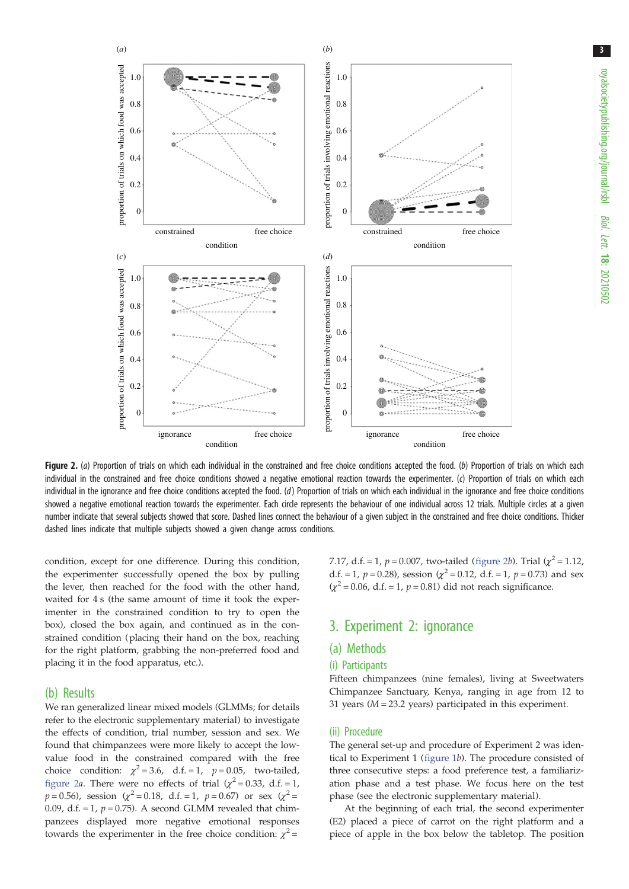<span id="page-2-0"></span>

Figure 2. (a) Proportion of trials on which each individual in the constrained and free choice conditions accepted the food. (b) Proportion of trials on which each individual in the constrained and free choice conditions showed a negative emotional reaction towards the experimenter. (c) Proportion of trials on which each individual in the ignorance and free choice conditions accepted the food.  $(d)$  Proportion of trials on which each individual in the ignorance and free choice conditions showed a negative emotional reaction towards the experimenter. Each circle represents the behaviour of one individual across 12 trials. Multiple circles at a given number indicate that several subjects showed that score. Dashed lines connect the behaviour of a given subject in the constrained and free choice conditions. Thicker dashed lines indicate that multiple subjects showed a given change across conditions.

condition, except for one difference. During this condition, the experimenter successfully opened the box by pulling the lever, then reached for the food with the other hand, waited for 4 s (the same amount of time it took the experimenter in the constrained condition to try to open the box), closed the box again, and continued as in the constrained condition (placing their hand on the box, reaching for the right platform, grabbing the non-preferred food and placing it in the food apparatus, etc.).

#### (b) Results

We ran generalized linear mixed models (GLMMs; for details refer to the electronic supplementary material) to investigate the effects of condition, trial number, session and sex. We found that chimpanzees were more likely to accept the lowvalue food in the constrained compared with the free choice condition:  $\chi^2 = 3.6$ , d.f. = 1,  $p = 0.05$ , two-tailed, figure 2a. There were no effects of trial  $(\chi^2 = 0.33, d.f. = 1,$  $p = 0.56$ ), session ( $\chi^2 = 0.18$ , d.f. = 1,  $p = 0.67$ ) or sex ( $\chi^2 =$ 0.09, d.f. = 1,  $p = 0.75$ ). A second GLMM revealed that chimpanzees displayed more negative emotional responses towards the experimenter in the free choice condition:  $\chi^2$  =

7.17, d.f. = 1,  $p = 0.007$ , two-tailed (figure 2b). Trial ( $\chi^2 = 1.12$ , d.f. = 1,  $p = 0.28$ ), session ( $\chi^2 = 0.12$ , d.f. = 1,  $p = 0.73$ ) and sex  $(\chi^2 = 0.06, d.f. = 1, p = 0.81)$  did not reach significance.

### 3. Experiment 2: ignorance

#### (a) Methods

#### (i) Participants

Fifteen chimpanzees (nine females), living at Sweetwaters Chimpanzee Sanctuary, Kenya, ranging in age from 12 to 31 years  $(M = 23.2$  years) participated in this experiment.

#### (ii) Procedure

The general set-up and procedure of Experiment 2 was identical to Experiment 1 [\(figure 1](#page-1-0)b). The procedure consisted of three consecutive steps: a food preference test, a familiarization phase and a test phase. We focus here on the test phase (see the electronic supplementary material).

At the beginning of each trial, the second experimenter (E2) placed a piece of carrot on the right platform and a piece of apple in the box below the tabletop. The position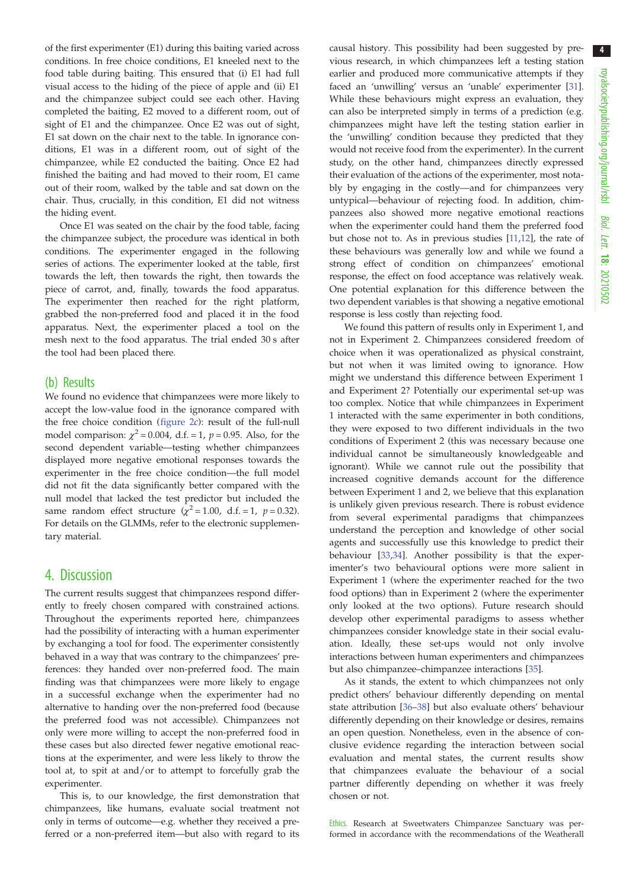of the first experimenter (E1) during this baiting varied across conditions. In free choice conditions, E1 kneeled next to the food table during baiting. This ensured that (i) E1 had full visual access to the hiding of the piece of apple and (ii) E1 and the chimpanzee subject could see each other. Having completed the baiting, E2 moved to a different room, out of sight of E1 and the chimpanzee. Once E2 was out of sight, E1 sat down on the chair next to the table. In ignorance conditions, E1 was in a different room, out of sight of the chimpanzee, while E2 conducted the baiting. Once E2 had finished the baiting and had moved to their room, E1 came out of their room, walked by the table and sat down on the chair. Thus, crucially, in this condition, E1 did not witness the hiding event.

Once E1 was seated on the chair by the food table, facing the chimpanzee subject, the procedure was identical in both conditions. The experimenter engaged in the following series of actions. The experimenter looked at the table, first towards the left, then towards the right, then towards the piece of carrot, and, finally, towards the food apparatus. The experimenter then reached for the right platform, grabbed the non-preferred food and placed it in the food apparatus. Next, the experimenter placed a tool on the mesh next to the food apparatus. The trial ended 30 s after the tool had been placed there.

#### (b) Results

We found no evidence that chimpanzees were more likely to accept the low-value food in the ignorance compared with the free choice condition [\(figure 2](#page-2-0)c): result of the full-null model comparison:  $\chi^2$  = 0.004, d.f. = 1, p = 0.95. Also, for the second dependent variable—testing whether chimpanzees displayed more negative emotional responses towards the experimenter in the free choice condition—the full model did not fit the data significantly better compared with the null model that lacked the test predictor but included the same random effect structure ( $\chi^2$  = 1.00, d.f. = 1, p = 0.32). For details on the GLMMs, refer to the electronic supplementary material.

#### 4. Discussion

The current results suggest that chimpanzees respond differently to freely chosen compared with constrained actions. Throughout the experiments reported here, chimpanzees had the possibility of interacting with a human experimenter by exchanging a tool for food. The experimenter consistently behaved in a way that was contrary to the chimpanzees' preferences: they handed over non-preferred food. The main finding was that chimpanzees were more likely to engage in a successful exchange when the experimenter had no alternative to handing over the non-preferred food (because the preferred food was not accessible). Chimpanzees not only were more willing to accept the non-preferred food in these cases but also directed fewer negative emotional reactions at the experimenter, and were less likely to throw the tool at, to spit at and/or to attempt to forcefully grab the experimenter.

This is, to our knowledge, the first demonstration that chimpanzees, like humans, evaluate social treatment not only in terms of outcome—e.g. whether they received a preferred or a non-preferred item—but also with regard to its

causal history. This possibility had been suggested by previous research, in which chimpanzees left a testing station earlier and produced more communicative attempts if they faced an 'unwilling' versus an 'unable' experimenter [[31\]](#page-4-0). While these behaviours might express an evaluation, they can also be interpreted simply in terms of a prediction (e.g. chimpanzees might have left the testing station earlier in the 'unwilling' condition because they predicted that they would not receive food from the experimenter). In the current study, on the other hand, chimpanzees directly expressed their evaluation of the actions of the experimenter, most notably by engaging in the costly—and for chimpanzees very untypical—behaviour of rejecting food. In addition, chimpanzees also showed more negative emotional reactions when the experimenter could hand them the preferred food but chose not to. As in previous studies [\[11,12\]](#page-4-0), the rate of these behaviours was generally low and while we found a strong effect of condition on chimpanzees' emotional response, the effect on food acceptance was relatively weak. One potential explanation for this difference between the two dependent variables is that showing a negative emotional response is less costly than rejecting food.

We found this pattern of results only in Experiment 1, and not in Experiment 2. Chimpanzees considered freedom of choice when it was operationalized as physical constraint, but not when it was limited owing to ignorance. How might we understand this difference between Experiment 1 and Experiment 2? Potentially our experimental set-up was too complex. Notice that while chimpanzees in Experiment 1 interacted with the same experimenter in both conditions, they were exposed to two different individuals in the two conditions of Experiment 2 (this was necessary because one individual cannot be simultaneously knowledgeable and ignorant). While we cannot rule out the possibility that increased cognitive demands account for the difference between Experiment 1 and 2, we believe that this explanation is unlikely given previous research. There is robust evidence from several experimental paradigms that chimpanzees understand the perception and knowledge of other social agents and successfully use this knowledge to predict their behaviour [[33,34\]](#page-5-0). Another possibility is that the experimenter's two behavioural options were more salient in Experiment 1 (where the experimenter reached for the two food options) than in Experiment 2 (where the experimenter only looked at the two options). Future research should develop other experimental paradigms to assess whether chimpanzees consider knowledge state in their social evaluation. Ideally, these set-ups would not only involve interactions between human experimenters and chimpanzees but also chimpanzee–chimpanzee interactions [\[35](#page-5-0)].

As it stands, the extent to which chimpanzees not only predict others' behaviour differently depending on mental state attribution [\[36](#page-5-0)–[38\]](#page-5-0) but also evaluate others' behaviour differently depending on their knowledge or desires, remains an open question. Nonetheless, even in the absence of conclusive evidence regarding the interaction between social evaluation and mental states, the current results show that chimpanzees evaluate the behaviour of a social partner differently depending on whether it was freely chosen or not.

Ethics. Research at Sweetwaters Chimpanzee Sanctuary was performed in accordance with the recommendations of the Weatherall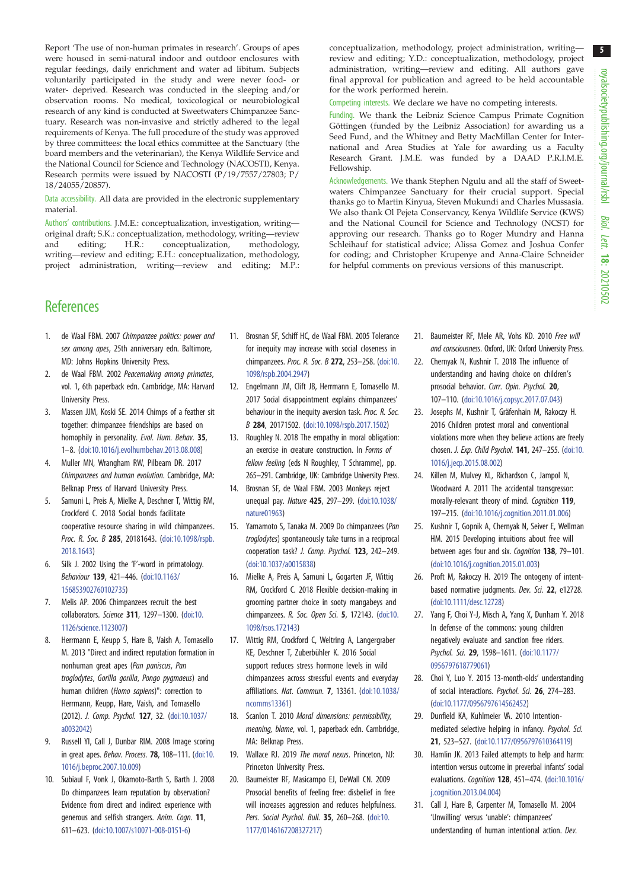<span id="page-4-0"></span>Report 'The use of non-human primates in research'. Groups of apes were housed in semi-natural indoor and outdoor enclosures with regular feedings, daily enrichment and water ad libitum. Subjects voluntarily participated in the study and were never food- or water- deprived. Research was conducted in the sleeping and/or observation rooms. No medical, toxicological or neurobiological research of any kind is conducted at Sweetwaters Chimpanzee Sanctuary. Research was non-invasive and strictly adhered to the legal requirements of Kenya. The full procedure of the study was approved by three committees: the local ethics committee at the Sanctuary (the board members and the veterinarian), the Kenya Wildlife Service and the National Council for Science and Technology (NACOSTI), Kenya. Research permits were issued by NACOSTI (P/19/7557/27803; P/ 18/24055/20857).

Data accessibility. All data are provided in the electronic supplementary material.

Authors' contributions. J.M.E.: conceptualization, investigation, writing original draft; S.K.: conceptualization, methodology, writing—review<br>and editing; H.R.: conceptualization, methodology, and editing; H.R.: conceptualization, writing—review and editing; E.H.: conceptualization, methodology, project administration, writing—review and editing; M.P.: conceptualization, methodology, project administration, writing review and editing; Y.D.: conceptualization, methodology, project administration, writing—review and editing. All authors gave final approval for publication and agreed to be held accountable for the work performed herein.

Competing interests. We declare we have no competing interests.

Funding. We thank the Leibniz Science Campus Primate Cognition Göttingen (funded by the Leibniz Association) for awarding us a Seed Fund, and the Whitney and Betty MacMillan Center for International and Area Studies at Yale for awarding us a Faculty Research Grant. J.M.E. was funded by a DAAD P.R.I.M.E. Fellowship.

Acknowledgements. We thank Stephen Ngulu and all the staff of Sweetwaters Chimpanzee Sanctuary for their crucial support. Special thanks go to Martin Kinyua, Steven Mukundi and Charles Mussasia. We also thank Ol Pejeta Conservancy, Kenya Wildlife Service (KWS) and the National Council for Science and Technology (NCST) for approving our research. Thanks go to Roger Mundry and Hanna Schleihauf for statistical advice; Alissa Gomez and Joshua Confer for coding; and Christopher Krupenye and Anna-Claire Schneider for helpful comments on previous versions of this manuscript.

## **References**

- 1. de Waal FBM. 2007 Chimpanzee politics: power and sex among apes, 25th anniversary edn. Baltimore, MD: Johns Hopkins University Press.
- 2. de Waal FBM. 2002 Peacemaking among primates, vol. 1, 6th paperback edn. Cambridge, MA: Harvard University Press.
- 3. Massen JJM, Koski SE. 2014 Chimps of a feather sit together: chimpanzee friendships are based on homophily in personality. Evol. Hum. Behav. 35, 1–8. [\(doi:10.1016/j.evolhumbehav.2013.08.008\)](https://doi.org/10.1016/j.evolhumbehav.2013.08.008)
- 4. Muller MN, Wrangham RW, Pilbeam DR. 2017 Chimpanzees and human evolution. Cambridge, MA: Belknap Press of Harvard University Press.
- 5. Samuni L, Preis A, Mielke A, Deschner T, Wittig RM, Crockford C. 2018 Social bonds facilitate cooperative resource sharing in wild chimpanzees. Proc. R. Soc. B 285, 20181643. ([doi:10.1098/rspb.](http://dx.doi.org/10.1098/rspb.2018.1643) [2018.1643\)](http://dx.doi.org/10.1098/rspb.2018.1643)
- 6. Silk J. 2002 Using the 'F'-word in primatology. Behaviour 139, 421–446. ([doi:10.1163/](http://dx.doi.org/10.1163/156853902760102735) [156853902760102735\)](http://dx.doi.org/10.1163/156853902760102735)
- 7. Melis AP. 2006 Chimpanzees recruit the best collaborators. Science 311, 1297–1300. ([doi:10.](http://dx.doi.org/10.1126/science.1123007) [1126/science.1123007\)](http://dx.doi.org/10.1126/science.1123007)
- 8. Herrmann E, Keupp S, Hare B, Vaish A, Tomasello M. 2013 "Direct and indirect reputation formation in nonhuman great apes (Pan paniscus, Pan troglodytes, Gorilla gorilla, Pongo pygmaeus) and human children (Homo sapiens)": correction to Herrmann, Keupp, Hare, Vaish, and Tomasello (2012). J. Comp. Psychol. 127, 32. [\(doi:10.1037/](https://doi.org/10.1037/a0032042) [a0032042\)](https://doi.org/10.1037/a0032042)
- 9. Russell YI, Call J, Dunbar RIM. 2008 Image scoring in great apes. Behav. Process. 78, 108–111. ([doi:10.](https://doi.org/10.1016/j.beproc.2007.10.009) [1016/j.beproc.2007.10.009](https://doi.org/10.1016/j.beproc.2007.10.009))
- 10. Subiaul F, Vonk J, Okamoto-Barth S, Barth J. 2008 Do chimpanzees learn reputation by observation? Evidence from direct and indirect experience with generous and selfish strangers. Anim. Cogn. 11, 611–623. ([doi:10.1007/s10071-008-0151-6](http://dx.doi.org/10.1007/s10071-008-0151-6))
- 11. Brosnan SF, Schiff HC, de Waal FBM. 2005 Tolerance for inequity may increase with social closeness in chimpanzees. Proc. R. Soc. B 272, 253–258. [\(doi:10.](http://dx.doi.org/10.1098/rspb.2004.2947) [1098/rspb.2004.2947](http://dx.doi.org/10.1098/rspb.2004.2947))
- 12. Engelmann JM, Clift JB, Herrmann E, Tomasello M. 2017 Social disappointment explains chimpanzees' behaviour in the inequity aversion task. Proc. R. Soc. B 284, 20171502. [\(doi:10.1098/rspb.2017.1502](http://dx.doi.org/10.1098/rspb.2017.1502))
- 13. Roughley N. 2018 The empathy in moral obligation: an exercise in creature construction. In Forms of fellow feeling (eds N Roughley, T Schramme), pp. 265–291. Cambridge, UK: Cambridge University Press.
- 14. Brosnan SF, de Waal FBM. 2003 Monkeys reject unequal pay. Nature 425, 297–299. ([doi:10.1038/](http://dx.doi.org/10.1038/nature01963) [nature01963](http://dx.doi.org/10.1038/nature01963))
- 15. Yamamoto S, Tanaka M. 2009 Do chimpanzees (Pan troglodytes) spontaneously take turns in a reciprocal cooperation task? J. Comp. Psychol. 123, 242–249. [\(doi:10.1037/a0015838\)](http://dx.doi.org/10.1037/a0015838)
- 16. Mielke A, Preis A, Samuni L, Gogarten JF, Wittig RM, Crockford C. 2018 Flexible decision-making in grooming partner choice in sooty mangabeys and chimpanzees. R. Soc. Open Sci. 5, 172143. ([doi:10.](http://dx.doi.org/10.1098/rsos.172143) [1098/rsos.172143](http://dx.doi.org/10.1098/rsos.172143))
- 17. Wittig RM, Crockford C, Weltring A, Langergraber KE, Deschner T, Zuberbühler K. 2016 Social support reduces stress hormone levels in wild chimpanzees across stressful events and everyday affiliations. Nat. Commun. 7, 13361. [\(doi:10.1038/](http://dx.doi.org/10.1038/ncomms13361) [ncomms13361\)](http://dx.doi.org/10.1038/ncomms13361)
- 18. Scanlon T. 2010 Moral dimensions: permissibility, meaning, blame, vol. 1, paperback edn. Cambridge, MA: Belknap Press.
- 19. Wallace RJ. 2019 The moral nexus. Princeton, NJ: Princeton University Press.
- 20. Baumeister RF, Masicampo EJ, DeWall CN. 2009 Prosocial benefits of feeling free: disbelief in free will increases aggression and reduces helpfulness. Pers. Social Psychol. Bull. 35, 260-268. [\(doi:10.](https://doi.org/10.1177/0146167208327217) [1177/0146167208327217\)](https://doi.org/10.1177/0146167208327217)
- 21. Baumeister RF, Mele AR, Vohs KD. 2010 Free will and consciousness. Oxford, UK: Oxford University Press.
- 22. Chernyak N, Kushnir T. 2018 The influence of understanding and having choice on children's prosocial behavior. Curr. Opin. Psychol. 20, 107–110. [\(doi:10.1016/j.copsyc.2017.07.043](http://dx.doi.org/10.1016/j.copsyc.2017.07.043))
- 23. Josephs M, Kushnir T, Gräfenhain M, Rakoczy H. 2016 Children protest moral and conventional violations more when they believe actions are freely chosen. J. Exp. Child Psychol. 141, 247–255. [\(doi:10.](http://dx.doi.org/10.1016/j.jecp.2015.08.002) [1016/j.jecp.2015.08.002](http://dx.doi.org/10.1016/j.jecp.2015.08.002))
- 24. Killen M, Mulvey KL, Richardson C, Jampol N, Woodward A. 2011 The accidental transgressor: morally-relevant theory of mind. Cognition 119, 197–215. [\(doi:10.1016/j.cognition.2011.01.006](https://doi.org/10.1016/j.cognition.2011.01.006))
- 25. Kushnir T, Gopnik A, Chernyak N, Seiver E, Wellman HM. 2015 Developing intuitions about free will between ages four and six. Cognition 138, 79-101. ([doi:10.1016/j.cognition.2015.01.003\)](http://dx.doi.org/10.1016/j.cognition.2015.01.003)
- 26. Proft M, Rakoczy H. 2019 The ontogeny of intentbased normative judgments. Dev. Sci. 22, e12728. ([doi:10.1111/desc.12728\)](http://dx.doi.org/10.1111/desc.12728)
- 27. Yang F, Choi Y-J, Misch A, Yang X, Dunham Y. 2018 In defense of the commons: young children negatively evaluate and sanction free riders. Psychol. Sci. 29, 1598–1611. [\(doi:10.1177/](http://dx.doi.org/10.1177/0956797618779061) [0956797618779061\)](http://dx.doi.org/10.1177/0956797618779061)
- 28. Choi Y, Luo Y. 2015 13-month-olds' understanding of social interactions. Psychol. Sci. 26, 274–283. ([doi:10.1177/0956797614562452\)](https://doi.org/10.1177/0956797614562452)
- 29. Dunfield KA, Kuhlmeier VA. 2010 Intentionmediated selective helping in infancy. Psychol. Sci. 21, 523–527. ([doi:10.1177/0956797610364119](http://dx.doi.org/10.1177/0956797610364119))
- 30. Hamlin JK. 2013 Failed attempts to help and harm: intention versus outcome in preverbal infants' social evaluations. Cognition 128, 451–474. [\(doi:10.1016/](http://dx.doi.org/10.1016/j.cognition.2013.04.004) [j.cognition.2013.04.004\)](http://dx.doi.org/10.1016/j.cognition.2013.04.004)
- 31. Call J, Hare B, Carpenter M, Tomasello M. 2004 'Unwilling' versus 'unable': chimpanzees' understanding of human intentional action. Dev.